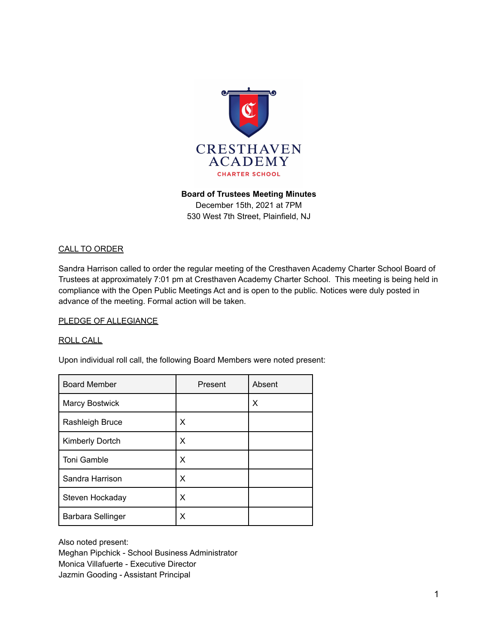

## **Board of Trustees Meeting Minutes**

December 15th, 2021 at 7PM 530 West 7th Street, Plainfield, NJ

#### CALL TO ORDER

Sandra Harrison called to order the regular meeting of the Cresthaven Academy Charter School Board of Trustees at approximately 7:01 pm at Cresthaven Academy Charter School. This meeting is being held in compliance with the Open Public Meetings Act and is open to the public. Notices were duly posted in advance of the meeting. Formal action will be taken.

#### PLEDGE OF ALLEGIANCE

#### ROLL CALL

Upon individual roll call, the following Board Members were noted present:

| <b>Board Member</b>   | Present | Absent |
|-----------------------|---------|--------|
| <b>Marcy Bostwick</b> |         | х      |
| Rashleigh Bruce       | х       |        |
| Kimberly Dortch       | X       |        |
| <b>Toni Gamble</b>    | X       |        |
| Sandra Harrison       | X       |        |
| Steven Hockaday       | X       |        |
| Barbara Sellinger     | X       |        |

Also noted present:

Meghan Pipchick - School Business Administrator Monica Villafuerte - Executive Director Jazmin Gooding - Assistant Principal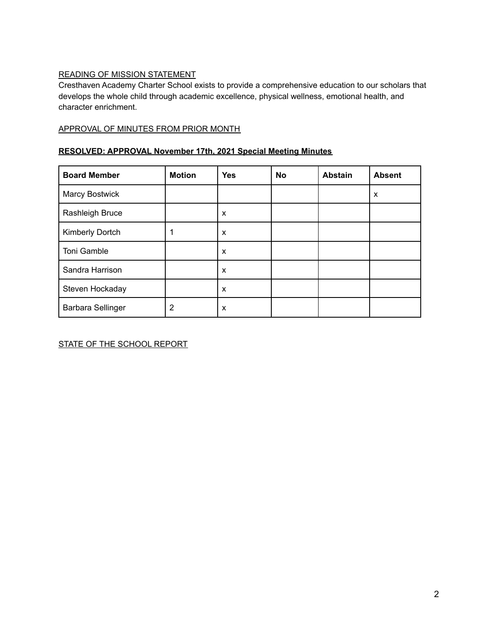## READING OF MISSION STATEMENT

Cresthaven Academy Charter School exists to provide a comprehensive education to our scholars that develops the whole child through academic excellence, physical wellness, emotional health, and character enrichment.

#### APPROVAL OF MINUTES FROM PRIOR MONTH

## **RESOLVED: APPROVAL November 17th, 2021 Special Meeting Minutes**

| <b>Board Member</b>      | <b>Motion</b> | <b>Yes</b> | No | <b>Abstain</b> | <b>Absent</b> |
|--------------------------|---------------|------------|----|----------------|---------------|
| <b>Marcy Bostwick</b>    |               |            |    |                | X             |
| Rashleigh Bruce          |               | X          |    |                |               |
| Kimberly Dortch          |               | X          |    |                |               |
| Toni Gamble              |               | X          |    |                |               |
| Sandra Harrison          |               | X          |    |                |               |
| Steven Hockaday          |               | X          |    |                |               |
| <b>Barbara Sellinger</b> | 2             | X          |    |                |               |

STATE OF THE SCHOOL REPORT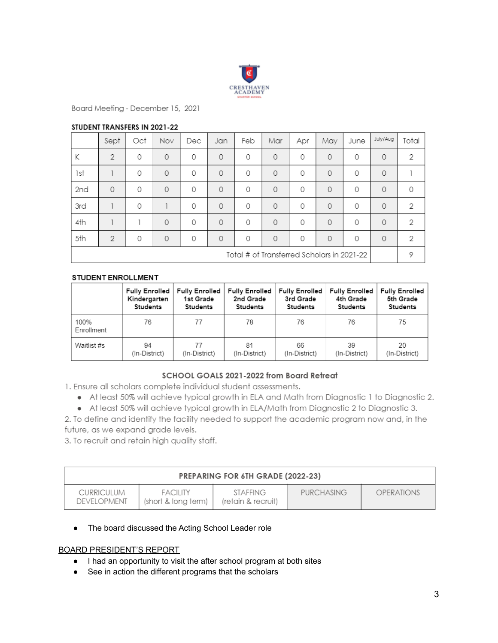

Board Meeting - December 15, 2021

#### STUDENT TRANSFERS IN 2021-22

|                                            | Sept           | Oct | Nov      | Dec      | Jan      | Feb      | Mar      | Apr      | May      | June     | July/Aug | Total |
|--------------------------------------------|----------------|-----|----------|----------|----------|----------|----------|----------|----------|----------|----------|-------|
| К                                          | $\overline{2}$ | 0   | 0        | 0        | $\circ$  | 0        | $\Omega$ | 0        | $\Omega$ | 0        | $\circ$  | 2     |
| 1st                                        |                | 0   | 0        | 0        | $\Omega$ | 0        | $\Omega$ | 0        | $\Omega$ | 0        | $\circ$  |       |
| 2nd                                        | $\Omega$       | 0   | $\Omega$ | $\Omega$ | $\Omega$ | $\Omega$ | $\Omega$ | 0        | $\Omega$ | 0        | $\circ$  | 0     |
| 3rd                                        |                | 0   |          | 0        | $\Omega$ | 0        | $\Omega$ | 0        | $\Omega$ | 0        | $\Omega$ | 2     |
| 4th                                        |                |     | $\Omega$ | $\Omega$ | $\Omega$ | $\Omega$ | $\Omega$ | 0        | $\Omega$ | 0        | $\circ$  | 2     |
| 5th                                        | $\mathcal{P}$  | 0   | $\Omega$ | $\Omega$ | $\Omega$ | $\Omega$ | $\Omega$ | $\Omega$ | $\Omega$ | $\Omega$ | $\circ$  | 2     |
| Total # of Transferred Scholars in 2021-22 |                |     |          |          |          |          |          | 9        |          |          |          |       |

#### **STUDENT ENROLLMENT**

|                    | Kindergarten<br>Students | Fully Enrolled   Fully Enrolled  <br>1st Grade<br>Students | <b>Fully Enrolled</b><br>2nd Grade<br>Students | Fully Enrolled<br>3rd Grade<br>Students | <b>Fully Enrolled</b><br>4th Grade<br>Students | <b>Fully Enrolled</b><br>5th Grade<br>Students |
|--------------------|--------------------------|------------------------------------------------------------|------------------------------------------------|-----------------------------------------|------------------------------------------------|------------------------------------------------|
| 100%<br>Enrollment | 76                       | 77                                                         | 78                                             | 76                                      | 76                                             | 75                                             |
| Waitlist #s        | 94<br>(In-District)      | 77<br>(In-District)                                        | 81<br>(In-District)                            | 66<br>(In-District)                     | 39<br>(In-District)                            | 20<br>(In-District)                            |

#### SCHOOL GOALS 2021-2022 from Board Retreat

1. Ensure all scholars complete individual student assessments.

- At least 50% will achieve typical growth in ELA and Math from Diagnostic 1 to Diagnostic 2.
- At least 50% will achieve typical growth in ELA/Math from Diagnostic 2 to Diagnostic 3.

2. To define and identify the facility needed to support the academic program now and, in the future, as we expand grade levels.

3. To recruit and retain high quality staff.

| <b>PREPARING FOR 6TH GRADE (2022-23)</b> |                                        |                                       |                   |            |  |  |
|------------------------------------------|----------------------------------------|---------------------------------------|-------------------|------------|--|--|
| <b>CURRICULUM</b><br><b>DEVELOPMENT</b>  | <b>FACILITY</b><br>(short & long term) | <b>STAFFING</b><br>(retain & recruit) | <b>PURCHASING</b> | OPERATIONS |  |  |

#### ● The board discussed the Acting School Leader role

#### BOARD PRESIDENT'S REPORT

- I had an opportunity to visit the after school program at both sites
- See in action the different programs that the scholars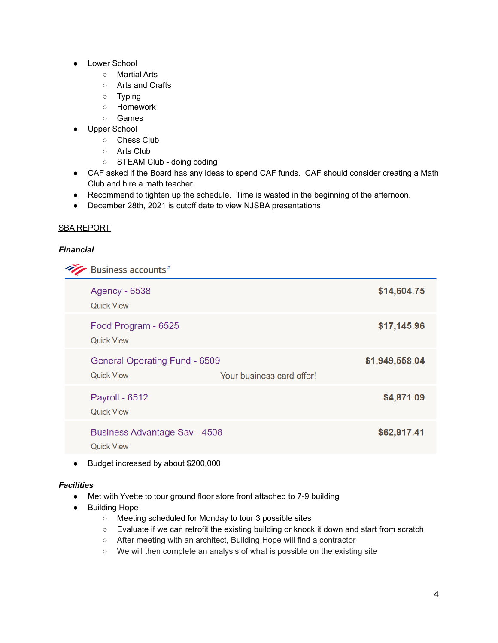- **Lower School** 
	- Martial Arts
	- Arts and Crafts
	- Typing
	- Homework
	- Games
- Upper School
	- Chess Club
	- Arts Club
	- STEAM Club doing coding
- CAF asked if the Board has any ideas to spend CAF funds. CAF should consider creating a Math Club and hire a math teacher.
- Recommend to tighten up the schedule. Time is wasted in the beginning of the afternoon.
- December 28th, 2021 is cutoff date to view NJSBA presentations

#### SBA REPORT

#### *Financial*

**Business accounts**<sup>a</sup>

| <b>Agency - 6538</b><br><b>Quick View</b>                 |                           | \$14,604.75    |
|-----------------------------------------------------------|---------------------------|----------------|
| Food Program - 6525<br><b>Quick View</b>                  |                           | \$17,145.96    |
| General Operating Fund - 6509<br><b>Quick View</b>        | Your business card offer! | \$1,949,558.04 |
| Payroll - 6512<br><b>Quick View</b>                       |                           | \$4,871.09     |
| <b>Business Advantage Sav - 4508</b><br><b>Quick View</b> |                           | \$62,917.41    |
|                                                           |                           |                |

● Budget increased by about \$200,000

#### *Facilities*

- Met with Yvette to tour ground floor store front attached to 7-9 building
- Building Hope
	- Meeting scheduled for Monday to tour 3 possible sites
	- Evaluate if we can retrofit the existing building or knock it down and start from scratch
	- After meeting with an architect, Building Hope will find a contractor
	- We will then complete an analysis of what is possible on the existing site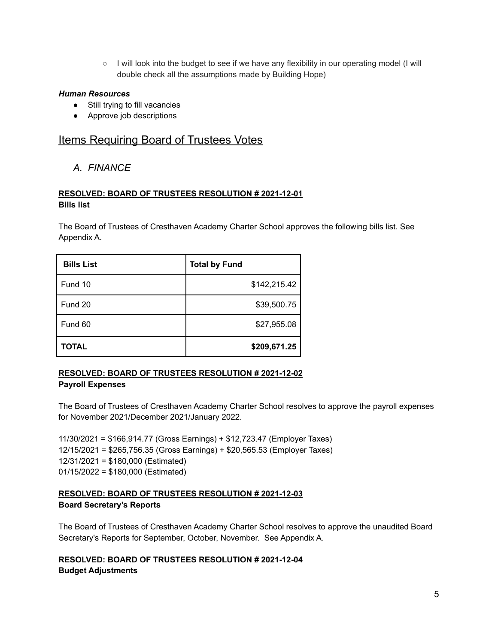○ I will look into the budget to see if we have any flexibility in our operating model (I will double check all the assumptions made by Building Hope)

#### *Human Resources*

- Still trying to fill vacancies
- Approve job descriptions

# **Items Requiring Board of Trustees Votes**

# *A. FINANCE*

### **RESOLVED: BOARD OF TRUSTEES RESOLUTION # 2021-12-01 Bills list**

The Board of Trustees of Cresthaven Academy Charter School approves the following bills list. See Appendix A.

| <b>Bills List</b> | <b>Total by Fund</b> |
|-------------------|----------------------|
| Fund 10           | \$142,215.42         |
| Fund 20           | \$39,500.75          |
| Fund 60           | \$27,955.08          |
| <b>TOTAL</b>      | \$209,671.25         |

#### **RESOLVED: BOARD OF TRUSTEES RESOLUTION # 2021-12-02 Payroll Expenses**

The Board of Trustees of Cresthaven Academy Charter School resolves to approve the payroll expenses for November 2021/December 2021/January 2022.

11/30/2021 = \$166,914.77 (Gross Earnings) + \$12,723.47 (Employer Taxes) 12/15/2021 = \$265,756.35 (Gross Earnings) + \$20,565.53 (Employer Taxes) 12/31/2021 = \$180,000 (Estimated) 01/15/2022 = \$180,000 (Estimated)

#### **RESOLVED: BOARD OF TRUSTEES RESOLUTION # 2021-12-03 Board Secretary's Reports**

The Board of Trustees of Cresthaven Academy Charter School resolves to approve the unaudited Board Secretary's Reports for September, October, November. See Appendix A.

# **RESOLVED: BOARD OF TRUSTEES RESOLUTION # 2021-12-04**

**Budget Adjustments**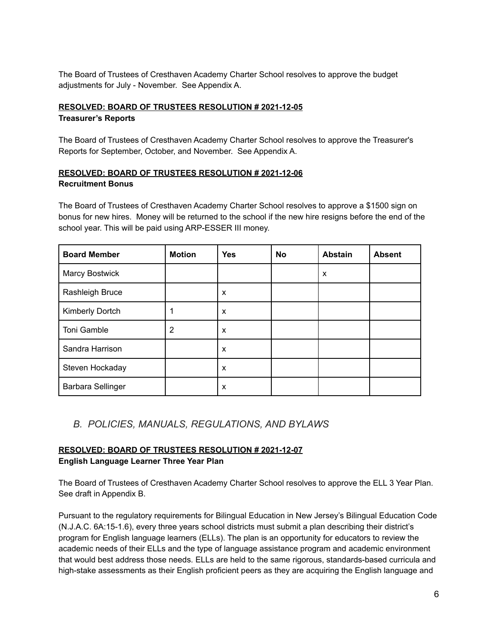The Board of Trustees of Cresthaven Academy Charter School resolves to approve the budget adjustments for July - November. See Appendix A.

## **RESOLVED: BOARD OF TRUSTEES RESOLUTION # 2021-12-05 Treasurer's Reports**

The Board of Trustees of Cresthaven Academy Charter School resolves to approve the Treasurer's Reports for September, October, and November. See Appendix A.

## **RESOLVED: BOARD OF TRUSTEES RESOLUTION # 2021-12-06 Recruitment Bonus**

The Board of Trustees of Cresthaven Academy Charter School resolves to approve a \$1500 sign on bonus for new hires. Money will be returned to the school if the new hire resigns before the end of the school year. This will be paid using ARP-ESSER III money.

| <b>Board Member</b>      | <b>Motion</b>  | <b>Yes</b> | <b>No</b> | <b>Abstain</b> | <b>Absent</b> |
|--------------------------|----------------|------------|-----------|----------------|---------------|
| <b>Marcy Bostwick</b>    |                |            |           | X              |               |
| Rashleigh Bruce          |                | X          |           |                |               |
| Kimberly Dortch          |                | X          |           |                |               |
| Toni Gamble              | $\overline{2}$ | X          |           |                |               |
| Sandra Harrison          |                | X          |           |                |               |
| Steven Hockaday          |                | X          |           |                |               |
| <b>Barbara Sellinger</b> |                | X          |           |                |               |

# *B. POLICIES, MANUALS, REGULATIONS, AND BYLAWS*

#### **RESOLVED: BOARD OF TRUSTEES RESOLUTION # 2021-12-07 English Language Learner Three Year Plan**

The Board of Trustees of Cresthaven Academy Charter School resolves to approve the ELL 3 Year Plan. See draft in Appendix B.

Pursuant to the regulatory requirements for Bilingual Education in New Jersey's Bilingual Education Code (N.J.A.C. 6A:15-1.6), every three years school districts must submit a plan describing their district's program for English language learners (ELLs). The plan is an opportunity for educators to review the academic needs of their ELLs and the type of language assistance program and academic environment that would best address those needs. ELLs are held to the same rigorous, standards-based curricula and high-stake assessments as their English proficient peers as they are acquiring the English language and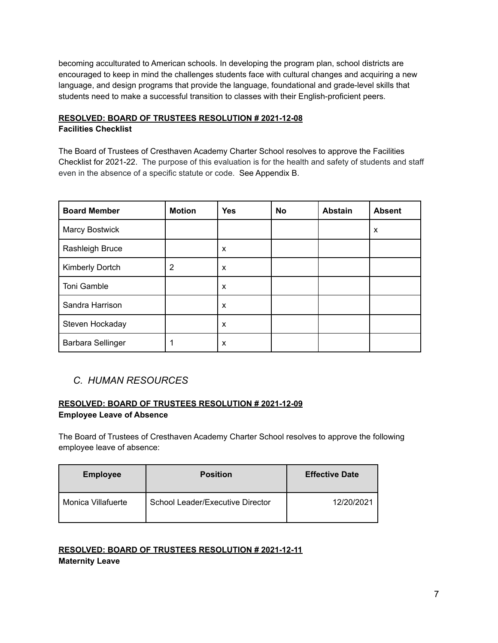becoming acculturated to American schools. In developing the program plan, school districts are encouraged to keep in mind the challenges students face with cultural changes and acquiring a new language, and design programs that provide the language, foundational and grade-level skills that students need to make a successful transition to classes with their English-proficient peers.

# **RESOLVED: BOARD OF TRUSTEES RESOLUTION # 2021-12-08**

# **Facilities Checklist**

The Board of Trustees of Cresthaven Academy Charter School resolves to approve the Facilities Checklist for 2021-22. The purpose of this evaluation is for the health and safety of students and staff even in the absence of a specific statute or code. See Appendix B.

| <b>Board Member</b>   | <b>Motion</b> | <b>Yes</b> | No | <b>Abstain</b> | <b>Absent</b> |
|-----------------------|---------------|------------|----|----------------|---------------|
| <b>Marcy Bostwick</b> |               |            |    |                | X             |
| Rashleigh Bruce       |               | X          |    |                |               |
| Kimberly Dortch       | 2             | X          |    |                |               |
| Toni Gamble           |               | X          |    |                |               |
| Sandra Harrison       |               | X          |    |                |               |
| Steven Hockaday       |               | X          |    |                |               |
| Barbara Sellinger     |               | X          |    |                |               |

# *C. HUMAN RESOURCES*

# **RESOLVED: BOARD OF TRUSTEES RESOLUTION # 2021-12-09 Employee Leave of Absence**

The Board of Trustees of Cresthaven Academy Charter School resolves to approve the following employee leave of absence:

| <b>Employee</b>    | <b>Position</b>                  | <b>Effective Date</b> |
|--------------------|----------------------------------|-----------------------|
| Monica Villafuerte | School Leader/Executive Director | 12/20/2021            |

# **RESOLVED: BOARD OF TRUSTEES RESOLUTION # 2021-12-11 Maternity Leave**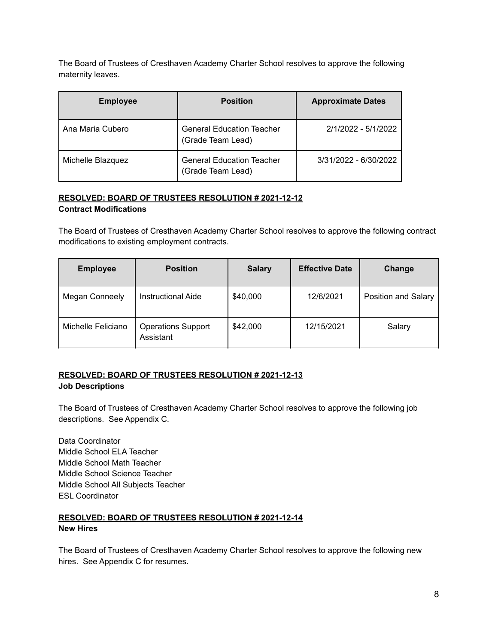The Board of Trustees of Cresthaven Academy Charter School resolves to approve the following maternity leaves.

| <b>Employee</b>   | <b>Position</b>                                       | <b>Approximate Dates</b> |
|-------------------|-------------------------------------------------------|--------------------------|
| Ana Maria Cubero  | <b>General Education Teacher</b><br>(Grade Team Lead) | 2/1/2022 - 5/1/2022      |
| Michelle Blazquez | <b>General Education Teacher</b><br>(Grade Team Lead) | 3/31/2022 - 6/30/2022    |

# **RESOLVED: BOARD OF TRUSTEES RESOLUTION # 2021-12-12**

# **Contract Modifications**

The Board of Trustees of Cresthaven Academy Charter School resolves to approve the following contract modifications to existing employment contracts.

| <b>Employee</b>       | <b>Position</b>                        | <b>Salary</b> | <b>Effective Date</b> | Change              |
|-----------------------|----------------------------------------|---------------|-----------------------|---------------------|
| <b>Megan Conneely</b> | Instructional Aide                     | \$40,000      | 12/6/2021             | Position and Salary |
| Michelle Feliciano    | <b>Operations Support</b><br>Assistant | \$42,000      | 12/15/2021            | Salary              |

#### **RESOLVED: BOARD OF TRUSTEES RESOLUTION # 2021-12-13 Job Descriptions**

The Board of Trustees of Cresthaven Academy Charter School resolves to approve the following job descriptions. See Appendix C.

Data Coordinator Middle School ELA Teacher Middle School Math Teacher Middle School Science Teacher Middle School All Subjects Teacher ESL Coordinator

# **RESOLVED: BOARD OF TRUSTEES RESOLUTION # 2021-12-14 New Hires**

The Board of Trustees of Cresthaven Academy Charter School resolves to approve the following new hires. See Appendix C for resumes.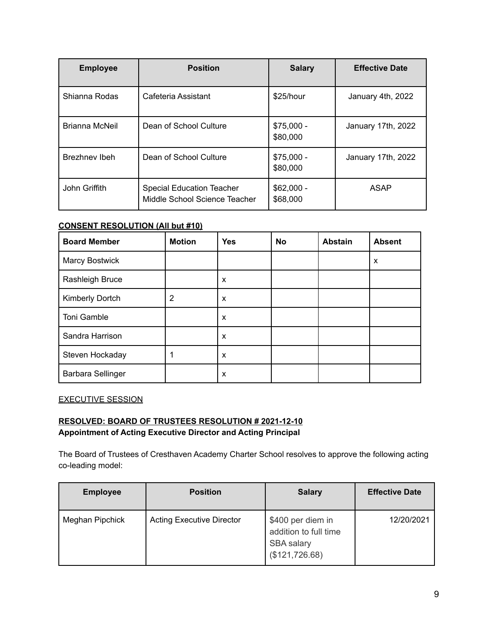| <b>Employee</b> | <b>Position</b>                                                   | <b>Salary</b>           | <b>Effective Date</b> |
|-----------------|-------------------------------------------------------------------|-------------------------|-----------------------|
| Shianna Rodas   | Cafeteria Assistant                                               | \$25/hour               | January 4th, 2022     |
| Brianna McNeil  | Dean of School Culture                                            | $$75,000 -$<br>\$80,000 | January 17th, 2022    |
| Brezhnev Ibeh   | Dean of School Culture                                            | $$75,000 -$<br>\$80,000 | January 17th, 2022    |
| John Griffith   | <b>Special Education Teacher</b><br>Middle School Science Teacher | $$62,000 -$<br>\$68,000 | ASAP                  |

#### **CONSENT RESOLUTION (All but #10)**

| <b>Board Member</b>      | <b>Motion</b> | <b>Yes</b> | <b>No</b> | <b>Abstain</b> | <b>Absent</b> |
|--------------------------|---------------|------------|-----------|----------------|---------------|
| <b>Marcy Bostwick</b>    |               |            |           |                | X             |
| Rashleigh Bruce          |               | X          |           |                |               |
| Kimberly Dortch          | 2             | X          |           |                |               |
| Toni Gamble              |               | X          |           |                |               |
| Sandra Harrison          |               | X          |           |                |               |
| Steven Hockaday          |               | X          |           |                |               |
| <b>Barbara Sellinger</b> |               | X          |           |                |               |

EXECUTIVE SESSION

## **RESOLVED: BOARD OF TRUSTEES RESOLUTION # 2021-12-10 Appointment of Acting Executive Director and Acting Principal**

The Board of Trustees of Cresthaven Academy Charter School resolves to approve the following acting co-leading model:

| <b>Employee</b> | <b>Position</b>                  | <b>Salary</b>                                                                     | <b>Effective Date</b> |
|-----------------|----------------------------------|-----------------------------------------------------------------------------------|-----------------------|
| Meghan Pipchick | <b>Acting Executive Director</b> | \$400 per diem in<br>addition to full time<br><b>SBA</b> salary<br>(\$121,726.68) | 12/20/2021            |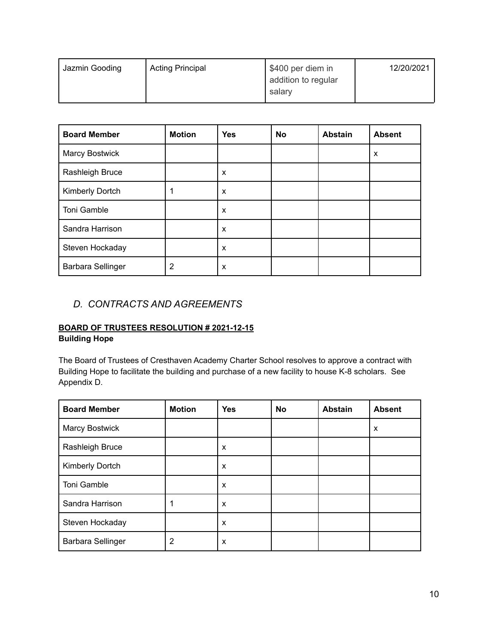| Jazmin Gooding | <b>Acting Principal</b> | \$400 per diem in   | 12/20/2021 |
|----------------|-------------------------|---------------------|------------|
|                |                         | addition to regular |            |
|                |                         | salary              |            |
|                |                         |                     |            |

| <b>Board Member</b>      | <b>Motion</b> | <b>Yes</b> | <b>No</b> | <b>Abstain</b> | <b>Absent</b> |
|--------------------------|---------------|------------|-----------|----------------|---------------|
| Marcy Bostwick           |               |            |           |                | X             |
| Rashleigh Bruce          |               | X          |           |                |               |
| Kimberly Dortch          |               | X          |           |                |               |
| Toni Gamble              |               | X          |           |                |               |
| Sandra Harrison          |               | X          |           |                |               |
| Steven Hockaday          |               | X          |           |                |               |
| <b>Barbara Sellinger</b> | 2             | X          |           |                |               |

# *D. CONTRACTS AND AGREEMENTS*

# **BOARD OF TRUSTEES RESOLUTION # 2021-12-15 Building Hope**

The Board of Trustees of Cresthaven Academy Charter School resolves to approve a contract with Building Hope to facilitate the building and purchase of a new facility to house K-8 scholars. See Appendix D.

| <b>Board Member</b>   | <b>Motion</b> | <b>Yes</b> | No | <b>Abstain</b> | <b>Absent</b> |
|-----------------------|---------------|------------|----|----------------|---------------|
| <b>Marcy Bostwick</b> |               |            |    |                | X             |
| Rashleigh Bruce       |               | X          |    |                |               |
| Kimberly Dortch       |               | X          |    |                |               |
| Toni Gamble           |               | X          |    |                |               |
| Sandra Harrison       |               | X          |    |                |               |
| Steven Hockaday       |               | X          |    |                |               |
| Barbara Sellinger     | 2             | X          |    |                |               |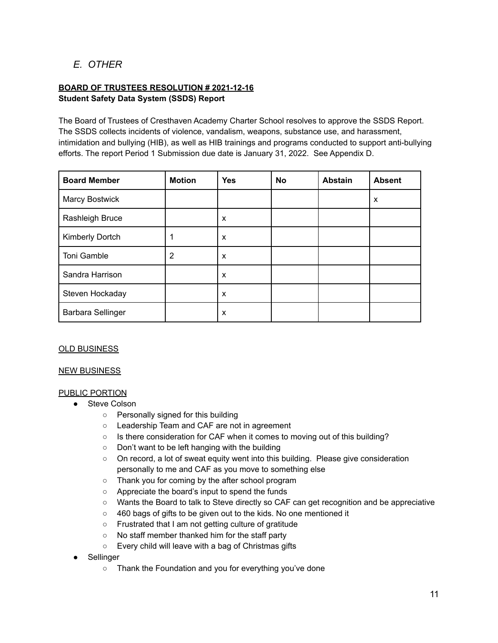# *E. OTHER*

## **BOARD OF TRUSTEES RESOLUTION # 2021-12-16 Student Safety Data System (SSDS) Report**

The Board of Trustees of Cresthaven Academy Charter School resolves to approve the SSDS Report. The SSDS collects incidents of violence, vandalism, weapons, substance use, and harassment, intimidation and bullying (HIB), as well as HIB trainings and programs conducted to support anti-bullying efforts. The report Period 1 Submission due date is January 31, 2022. See Appendix D.

| <b>Board Member</b>   | <b>Motion</b> | <b>Yes</b> | No | <b>Abstain</b> | <b>Absent</b> |
|-----------------------|---------------|------------|----|----------------|---------------|
| <b>Marcy Bostwick</b> |               |            |    |                | X             |
| Rashleigh Bruce       |               | X          |    |                |               |
| Kimberly Dortch       |               | X          |    |                |               |
| Toni Gamble           | 2             | X          |    |                |               |
| Sandra Harrison       |               | X          |    |                |               |
| Steven Hockaday       |               | X          |    |                |               |
| Barbara Sellinger     |               | X          |    |                |               |

#### OLD BUSINESS

#### **NEW BUSINESS**

#### PUBLIC PORTION

- Steve Colson
	- Personally signed for this building
	- Leadership Team and CAF are not in agreement
	- Is there consideration for CAF when it comes to moving out of this building?
	- Don't want to be left hanging with the building
	- On record, a lot of sweat equity went into this building. Please give consideration personally to me and CAF as you move to something else
	- Thank you for coming by the after school program
	- Appreciate the board's input to spend the funds
	- Wants the Board to talk to Steve directly so CAF can get recognition and be appreciative
	- 460 bags of gifts to be given out to the kids. No one mentioned it
	- Frustrated that I am not getting culture of gratitude
	- No staff member thanked him for the staff party
	- Every child will leave with a bag of Christmas gifts
- Sellinger
	- Thank the Foundation and you for everything you've done